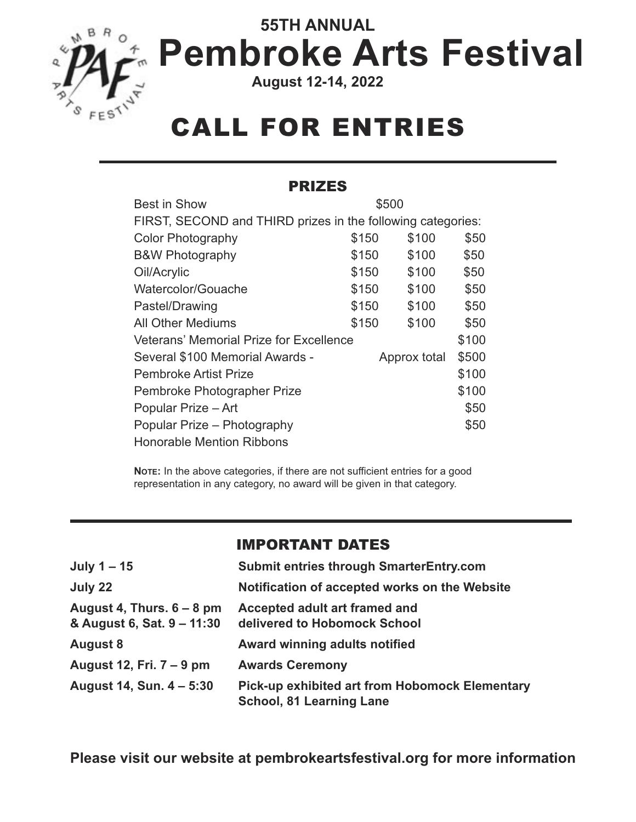

# **55TH ANNUAL Pembroke Arts Festival**

**August 12-14, 2022**

# CALL FOR ENTRIES

#### PRIZES

| <b>Best in Show</b>                                         | \$500 |                       |       |
|-------------------------------------------------------------|-------|-----------------------|-------|
| FIRST, SECOND and THIRD prizes in the following categories: |       |                       |       |
| <b>Color Photography</b>                                    | \$150 | \$100                 | \$50  |
| <b>B&amp;W Photography</b>                                  | \$150 | \$100                 | \$50  |
| Oil/Acrylic                                                 | \$150 | \$100                 | \$50  |
| Watercolor/Gouache                                          | \$150 | \$100                 | \$50  |
| Pastel/Drawing                                              | \$150 | \$100                 | \$50  |
| <b>All Other Mediums</b>                                    | \$150 | \$100                 | \$50  |
| <b>Veterans' Memorial Prize for Excellence</b>              |       | \$100                 |       |
| Several \$100 Memorial Awards -                             |       | \$500<br>Approx total |       |
| Pembroke Artist Prize                                       |       |                       | \$100 |
| Pembroke Photographer Prize                                 |       |                       | \$100 |
| Popular Prize - Art                                         |       |                       | \$50  |
| Popular Prize - Photography                                 |       |                       | \$50  |
| <b>Honorable Mention Ribbons</b>                            |       |                       |       |

**NOTE:** In the above categories, if there are not sufficient entries for a good representation in any category, no award will be given in that category.

#### IMPORTANT DATES

| July $1 - 15$                                             | <b>Submit entries through SmarterEntry.com</b>                                           |
|-----------------------------------------------------------|------------------------------------------------------------------------------------------|
| July 22                                                   | Notification of accepted works on the Website                                            |
| August 4, Thurs. $6 - 8$ pm<br>& August 6, Sat. 9 - 11:30 | Accepted adult art framed and<br>delivered to Hobomock School                            |
| <b>August 8</b>                                           | <b>Award winning adults notified</b>                                                     |
| August 12, Fri. 7 – 9 pm                                  | <b>Awards Ceremony</b>                                                                   |
| August 14, Sun. 4 – 5:30                                  | <b>Pick-up exhibited art from Hobomock Elementary</b><br><b>School, 81 Learning Lane</b> |

**Please visit our website at pembrokeartsfestival.org for more information**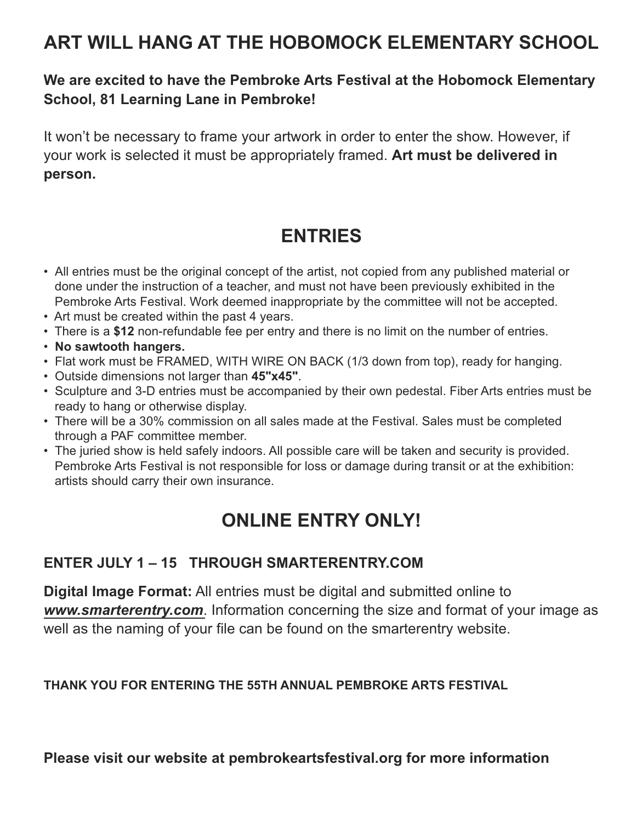## **ART WILL HANG AT THE HOBOMOCK ELEMENTARY SCHOOL**

### **We are excited to have the Pembroke Arts Festival at the Hobomock Elementary School, 81 Learning Lane in Pembroke!**

It won't be necessary to frame your artwork in order to enter the show. However, if your work is selected it must be appropriately framed. **Art must be delivered in person.**

## **ENTRIES**

- All entries must be the original concept of the artist, not copied from any published material or done under the instruction of a teacher, and must not have been previously exhibited in the Pembroke Arts Festival. Work deemed inappropriate by the committee will not be accepted.
- Art must be created within the past 4 years.
- There is a \$12 non-refundable fee per entry and there is no limit on the number of entries.
- **No sawtooth hangers.**
- Flat work must be FRAMED, WITH WIRE ON BACK (1/3 down from top), ready for hanging.
- Outside dimensions not larger than **45"x45"**.
- Sculpture and 3-D entries must be accompanied by their own pedestal. Fiber Arts entries must be ready to hang or otherwise display.
- There will be a 30% commission on all sales made at the Festival. Sales must be completed through a PAF committee member.
- The juried show is held safely indoors. All possible care will be taken and security is provided. Pembroke Arts Festival is not responsible for loss or damage during transit or at the exhibition: artists should carry their own insurance.

## **ONLINE ENTRY ONLY!**

### **ENTER JULY 1 – 15 THROUGH SMARTERENTRY.COM**

**Digital Image Format:** All entries must be digital and submitted online to *www.smarterentry.com*. Information concerning the size and format of your image as well as the naming of your file can be found on the smarterentry website.

#### **THANK YOU FOR ENTERING THE 55TH ANNUAL PEMBROKE ARTS FESTIVAL**

**Please visit our website at pembrokeartsfestival.org for more information**